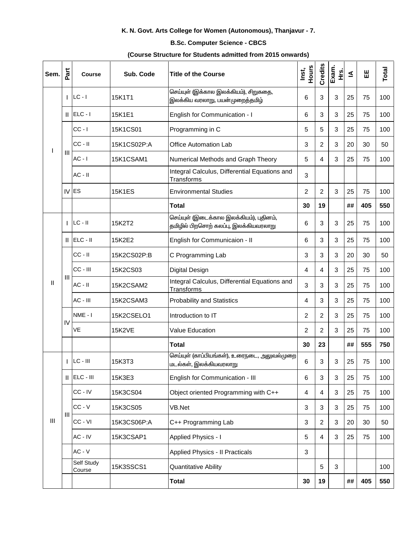## K. N. Govt. Arts College for Women (Autonomous), Thanjavur - 7.

## **B.Sc. Computer Science - CBCS**

## (Course Structure for Students admitted from 2015 onwards)

| Sem.           | Part           | <b>Course</b>        | Sub. Code     | <b>Title of the Course</b>                                                       | Hours<br>Inst, | Credits        | Exam.<br>Hrs. | ≤  | 出   | Total |
|----------------|----------------|----------------------|---------------|----------------------------------------------------------------------------------|----------------|----------------|---------------|----|-----|-------|
| T              |                | $ LC - I $           | 15K1T1        | செய்யுள் (இக்கால இலக்கியம்), சிறுகதை,<br>இலக்கிய வரலாறு, பயன்முறைத்தமிழ்         | 6              | 3              | 3             | 25 | 75  | 100   |
|                |                | $  $ ELC - $ $       | 15K1E1        | English for Communication - I                                                    | 6              | 3              | 3             | 25 | 75  | 100   |
|                | $\mathbf{III}$ | $CC - I$             | 15K1CS01      | Programming in C                                                                 | 5              | 5              | 3             | 25 | 75  | 100   |
|                |                | $CC - II$            | 15K1CS02P:A   | <b>Office Automation Lab</b>                                                     | 3              | $\overline{c}$ | 3             | 20 | 30  | 50    |
|                |                | $AC - I$             | 15K1CSAM1     | Numerical Methods and Graph Theory                                               | 5              | 4              | 3             | 25 | 75  | 100   |
|                |                | $AC - II$            |               | Integral Calculus, Differential Equations and<br>Transforms                      | 3              |                |               |    |     |       |
|                |                | IV ES                | <b>15K1ES</b> | <b>Environmental Studies</b>                                                     | $\overline{2}$ | $\overline{c}$ | 3             | 25 | 75  | 100   |
|                |                |                      |               | <b>Total</b>                                                                     | 30             | 19             |               | ## | 405 | 550   |
|                |                | $LC - II$            | 15K2T2        | செய்யுள் (இடைக்கால இலக்கியம்), புதினம்,<br>தமிழில் பிறசொற் கலப்பு, இலக்கியவரலாறு | 6              | 3              | 3             | 25 | 75  | 100   |
|                |                | $  $ ELC - $  $      | 15K2E2        | English for Communicaion - II                                                    | 6              | $\sqrt{3}$     | 3             | 25 | 75  | 100   |
| $\, \parallel$ | Ш              | $CC - II$            | 15K2CS02P:B   | C Programming Lab                                                                | 3              | 3              | 3             | 20 | 30  | 50    |
|                |                | $CC - III$           | 15K2CS03      | <b>Digital Design</b>                                                            | 4              | 4              | 3             | 25 | 75  | 100   |
|                |                | $AC - II$            | 15K2CSAM2     | Integral Calculus, Differential Equations and<br><b>Transforms</b>               | 3              | 3              | 3             | 25 | 75  | 100   |
|                |                | AC - III             | 15K2CSAM3     | <b>Probability and Statistics</b>                                                | 4              | 3              | 3             | 25 | 75  | 100   |
|                | IV             | NME-I                | 15K2CSELO1    | Introduction to IT                                                               | 2              | $\overline{c}$ | 3             | 25 | 75  | 100   |
|                |                | VE                   | <b>15K2VE</b> | <b>Value Education</b>                                                           | 2              | $\overline{c}$ | 3             | 25 | 75  | 100   |
|                |                |                      |               | <b>Total</b>                                                                     | 30             | 23             |               | ## | 555 | 750   |
| $\mathbf{III}$ | $\mathsf{I}$   | $LC - III$           | 15K3T3        | செய்யுள் (காப்பியங்கள்), உரைநடை, அலுவல்முறை<br>மடல்கள், இலக்கியவரலாறு            | 6              | 3              | 3             | 25 | 75  | 100   |
|                |                | $  $ ELC - $  $      | 15K3E3        | English for Communication - III                                                  | 6              | $\sqrt{3}$     | 3             | 25 | 75  | 100   |
|                | Ш              | CC - IV              | 15K3CS04      | Object oriented Programming with C++                                             | 4              | $\overline{4}$ | 3             | 25 | 75  | 100   |
|                |                | $CC - V$             | 15K3CS05      | VB.Net                                                                           | $\mathbf{3}$   | 3              | 3             | 25 | 75  | 100   |
|                |                | CC - VI              | 15K3CS06P:A   | C++ Programming Lab                                                              | 3              | $\overline{2}$ | 3             | 20 | 30  | 50    |
|                |                | AC - IV              | 15K3CSAP1     | Applied Physics - I                                                              | 5              | $\overline{4}$ | 3             | 25 | 75  | 100   |
|                |                | $AC - V$             |               | <b>Applied Physics - Il Practicals</b>                                           | 3              |                |               |    |     |       |
|                |                | Self Study<br>Course | 15K3SSCS1     | <b>Quantitative Ability</b>                                                      |                | 5              | 3             |    |     | 100   |
|                |                |                      |               | <b>Total</b>                                                                     | 30             | 19             |               | ## | 405 | 550   |